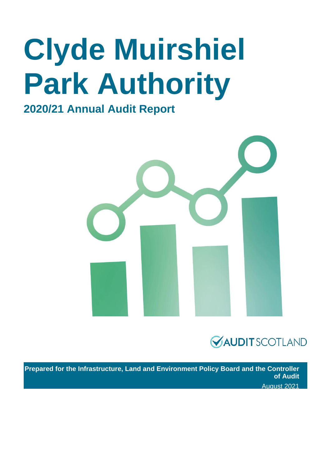# **Clyde Muirshiel Park Authority**

### **2020/21 Annual Audit Report**





**Prepared for the Infrastructure, Land and Environment Policy Board and the Controller of Audit**  August 2021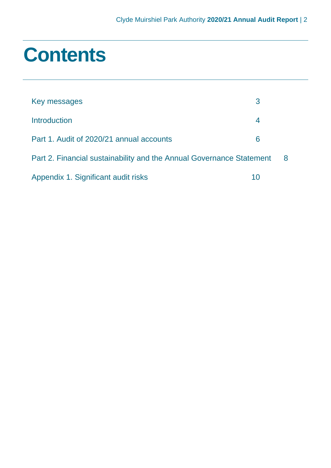### **Contents**

| Key messages                                                         | З  |   |
|----------------------------------------------------------------------|----|---|
| <b>Introduction</b>                                                  | 4  |   |
| Part 1. Audit of 2020/21 annual accounts                             | 6  |   |
| Part 2. Financial sustainability and the Annual Governance Statement |    | 8 |
| Appendix 1. Significant audit risks                                  | 10 |   |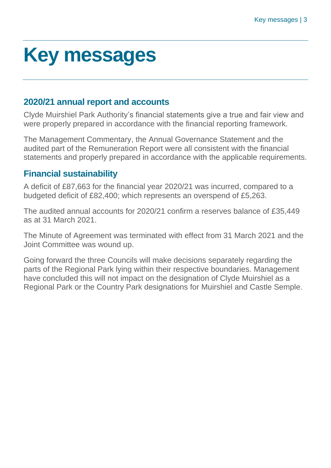## <span id="page-2-0"></span>**Key messages**

#### **2020/21 annual report and accounts**

Clyde Muirshiel Park Authority's financial statements give a true and fair view and were properly prepared in accordance with the financial reporting framework.

The Management Commentary, the Annual Governance Statement and the audited part of the Remuneration Report were all consistent with the financial statements and properly prepared in accordance with the applicable requirements.

#### **Financial sustainability**

A deficit of £87,663 for the financial year 2020/21 was incurred, compared to a budgeted deficit of £82,400; which represents an overspend of £5,263.

The audited annual accounts for 2020/21 confirm a reserves balance of £35,449 as at 31 March 2021.

The Minute of Agreement was terminated with effect from 31 March 2021 and the Joint Committee was wound up.

Going forward the three Councils will make decisions separately regarding the parts of the Regional Park lying within their respective boundaries. Management have concluded this will not impact on the designation of Clyde Muirshiel as a Regional Park or the Country Park designations for Muirshiel and Castle Semple.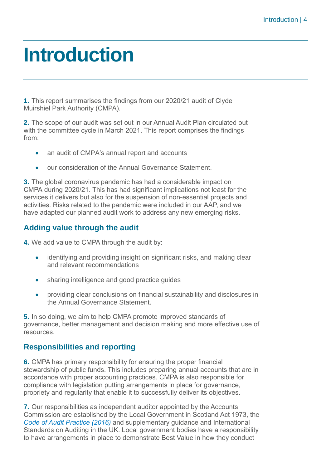## <span id="page-3-0"></span>**Introduction**

**1.** This report summarises the findings from our 2020/21 audit of Clyde Muirshiel Park Authority (CMPA).

**2.** The scope of our audit was set out in our Annual Audit Plan circulated out with the committee cycle in March 2021. This report comprises the findings from:

- an audit of CMPA's annual report and accounts
- our consideration of the Annual Governance Statement.

**3.** The global coronavirus pandemic has had a considerable impact on CMPA during 2020/21. This has had significant implications not least for the services it delivers but also for the suspension of non-essential projects and activities. Risks related to the pandemic were included in our AAP, and we have adapted our planned audit work to address any new emerging risks.

#### **Adding value through the audit**

**4.** We add value to CMPA through the audit by:

- identifying and providing insight on significant risks, and making clear and relevant recommendations
- sharing intelligence and good practice guides
- providing clear conclusions on financial sustainability and disclosures in the Annual Governance Statement.

**5.** In so doing, we aim to help CMPA promote improved standards of governance, better management and decision making and more effective use of resources.

#### **Responsibilities and reporting**

**6.** CMPA has primary responsibility for ensuring the proper financial stewardship of public funds. This includes preparing annual accounts that are in accordance with proper accounting practices. CMPA is also responsible for compliance with legislation putting arrangements in place for governance, propriety and regularity that enable it to successfully deliver its objectives.

**7.** Our responsibilities as independent auditor appointed by the Accounts Commission are established by the Local Government in Scotland Act 1973, the *[Code of Audit Practice \(2016\)](http://www.audit-scotland.gov.uk/report/code-of-audit-practice-2016)* and supplementary guidance and International Standards on Auditing in the UK. Local government bodies have a responsibility to have arrangements in place to demonstrate Best Value in how they conduct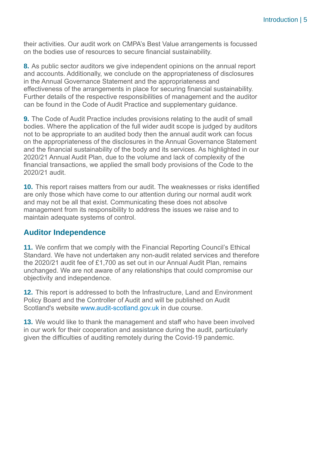their activities. Our audit work on CMPA's Best Value arrangements is focussed on the bodies use of resources to secure financial sustainability.

**8.** As public sector auditors we give independent opinions on the annual report and accounts. Additionally, we conclude on the appropriateness of disclosures in the Annual Governance Statement and the appropriateness and effectiveness of the arrangements in place for securing financial sustainability. Further details of the respective responsibilities of management and the auditor can be found in the Code of Audit Practice and supplementary guidance.

**9.** The Code of Audit Practice includes provisions relating to the audit of small bodies. Where the application of the full wider audit scope is judged by auditors not to be appropriate to an audited body then the annual audit work can focus on the appropriateness of the disclosures in the Annual Governance Statement and the financial sustainability of the body and its services. As highlighted in our 2020/21 Annual Audit Plan, due to the volume and lack of complexity of the financial transactions, we applied the small body provisions of the Code to the 2020/21 audit.

**10.** This report raises matters from our audit. The weaknesses or risks identified are only those which have come to our attention during our normal audit work and may not be all that exist. Communicating these does not absolve management from its responsibility to address the issues we raise and to maintain adequate systems of control.

#### **Auditor Independence**

**11.** We confirm that we comply with the Financial Reporting Council's Ethical Standard. We have not undertaken any non-audit related services and therefore the 2020/21 audit fee of £1,700 as set out in our Annual Audit Plan, remains unchanged. We are not aware of any relationships that could compromise our objectivity and independence.

**12.** This report is addressed to both the Infrastructure, Land and Environment Policy Board and the Controller of Audit and will be published on Audit Scotland's website [www.audit-scotland.gov.uk](http://www.audit-scotland.gov.uk/) in due course.

**13.** We would like to thank the management and staff who have been involved in our work for their cooperation and assistance during the audit, particularly given the difficulties of auditing remotely during the Covid-19 pandemic.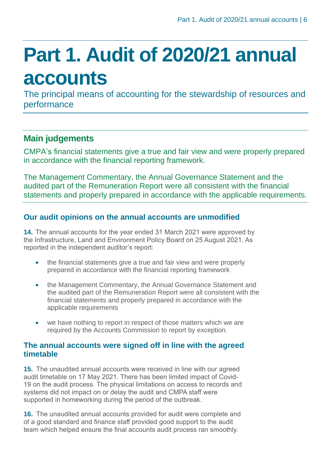## <span id="page-5-0"></span>**Part 1. Audit of 2020/21 annual accounts**

The principal means of accounting for the stewardship of resources and performance

### **Main judgements**

CMPA's financial statements give a true and fair view and were properly prepared in accordance with the financial reporting framework.

The Management Commentary, the Annual Governance Statement and the audited part of the Remuneration Report were all consistent with the financial statements and properly prepared in accordance with the applicable requirements.

#### **Our audit opinions on the annual accounts are unmodified**

**14.** The annual accounts for the year ended 31 March 2021 were approved by the Infrastructure, Land and Environment Policy Board on 25 August 2021. As reported in the independent auditor's report:

- the financial statements give a true and fair view and were properly prepared in accordance with the financial reporting framework
- the Management Commentary, the Annual Governance Statement and the audited part of the Remuneration Report were all consistent with the financial statements and properly prepared in accordance with the applicable requirements
- we have nothing to report in respect of those matters which we are required by the Accounts Commission to report by exception.

#### **The annual accounts were signed off in line with the agreed timetable**

**15.** The unaudited annual accounts were received in line with our agreed audit timetable on 17 May 2021. There has been limited impact of Covid-19 on the audit process. The physical limitations on access to records and systems did not impact on or delay the audit and CMPA staff were supported in homeworking during the period of the outbreak.

**16.** The unaudited annual accounts provided for audit were complete and of a good standard and finance staff provided good support to the audit team which helped ensure the final accounts audit process ran smoothly.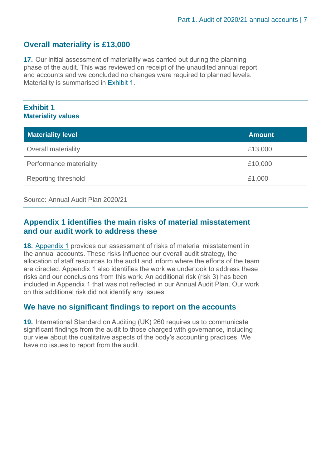#### **Overall materiality is £13,000**

**17.** Our initial assessment of materiality was carried out during the planning phase of the audit. This was reviewed on receipt of the unaudited annual report and accounts and we concluded no changes were required to planned levels. Materiality is summarised in [Exhibit](#page-6-0) 1.

#### <span id="page-6-0"></span>**Exhibit 1 Materiality values**

| <b>Materiality level</b>   | <b>Amount</b> |
|----------------------------|---------------|
| Overall materiality        | £13,000       |
| Performance materiality    | £10,000       |
| <b>Reporting threshold</b> | £1,000        |

#### Source: Annual Audit Plan 2020/21

#### **[Appendix 1](#page-9-0) identifies the main risks of material misstatement and our audit work to address these**

**18.** [Appendix 1](#page-9-0) provides our assessment of risks of material misstatement in the annual accounts. These risks influence our overall audit strategy, the allocation of staff resources to the audit and inform where the efforts of the team are directed. Appendix 1 also identifies the work we undertook to address these risks and our conclusions from this work. An additional risk (risk 3) has been included in Appendix 1 that was not reflected in our Annual Audit Plan. Our work on this additional risk did not identify any issues.

#### **We have no significant findings to report on the accounts**

**19.** International Standard on Auditing (UK) 260 requires us to communicate significant findings from the audit to those charged with governance, including our view about the qualitative aspects of the body's accounting practices. We have no issues to report from the audit.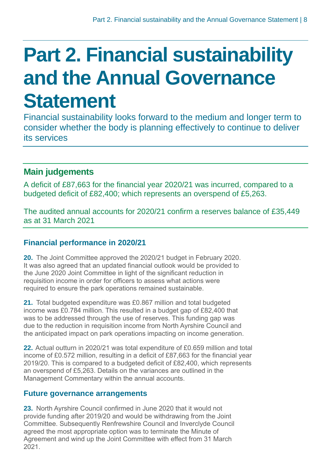## <span id="page-7-0"></span>**Part 2. Financial sustainability and the Annual Governance Statement**

Financial sustainability looks forward to the medium and longer term to consider whether the body is planning effectively to continue to deliver its services

### **Main judgements**

A deficit of £87,663 for the financial year 2020/21 was incurred, compared to a budgeted deficit of £82,400; which represents an overspend of £5,263.

The audited annual accounts for 2020/21 confirm a reserves balance of £35,449 as at 31 March 2021

#### **Financial performance in 2020/21**

**20.** The Joint Committee approved the 2020/21 budget in February 2020. It was also agreed that an updated financial outlook would be provided to the June 2020 Joint Committee in light of the significant reduction in requisition income in order for officers to assess what actions were required to ensure the park operations remained sustainable.

**21.** Total budgeted expenditure was £0.867 million and total budgeted income was £0.784 million. This resulted in a budget gap of £82,400 that was to be addressed through the use of reserves. This funding gap was due to the reduction in requisition income from North Ayrshire Council and the anticipated impact on park operations impacting on income generation.

**22.** Actual outturn in 2020/21 was total expenditure of £0.659 million and total income of £0.572 million, resulting in a deficit of £87,663 for the financial year 2019/20. This is compared to a budgeted deficit of £82,400, which represents an overspend of £5,263. Details on the variances are outlined in the Management Commentary within the annual accounts.

#### **Future governance arrangements**

**23.** North Ayrshire Council confirmed in June 2020 that it would not provide funding after 2019/20 and would be withdrawing from the Joint Committee. Subsequently Renfrewshire Council and Inverclyde Council agreed the most appropriate option was to terminate the Minute of Agreement and wind up the Joint Committee with effect from 31 March 2021.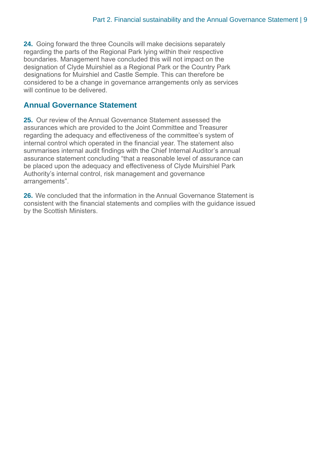**24.** Going forward the three Councils will make decisions separately regarding the parts of the Regional Park lying within their respective boundaries. Management have concluded this will not impact on the designation of Clyde Muirshiel as a Regional Park or the Country Park designations for Muirshiel and Castle Semple. This can therefore be considered to be a change in governance arrangements only as services will continue to be delivered.

#### **Annual Governance Statement**

**25.** Our review of the Annual Governance Statement assessed the assurances which are provided to the Joint Committee and Treasurer regarding the adequacy and effectiveness of the committee's system of internal control which operated in the financial year. The statement also summarises internal audit findings with the Chief Internal Auditor's annual assurance statement concluding "that a reasonable level of assurance can be placed upon the adequacy and effectiveness of Clyde Muirshiel Park Authority's internal control, risk management and governance arrangements".

**26.** We concluded that the information in the Annual Governance Statement is consistent with the financial statements and complies with the guidance issued by the Scottish Ministers.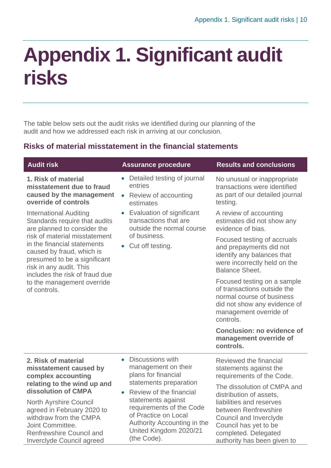## <span id="page-9-0"></span>**Appendix 1. Significant audit risks**

The table below sets out the audit risks we identified during our planning of the audit and how we addressed each risk in arriving at our conclusion.

#### **Risks of material misstatement in the financial statements**

| <b>Audit risk</b>                                                                                                                                                                      | <b>Assurance procedure</b>                                                                                                                     | <b>Results and conclusions</b>                                                                                                                                 |  |
|----------------------------------------------------------------------------------------------------------------------------------------------------------------------------------------|------------------------------------------------------------------------------------------------------------------------------------------------|----------------------------------------------------------------------------------------------------------------------------------------------------------------|--|
| 1. Risk of material<br>misstatement due to fraud<br>caused by the management<br>override of controls                                                                                   | • Detailed testing of journal<br>entries<br>Review of accounting<br>$\bullet$<br>estimates                                                     | No unusual or inappropriate<br>transactions were identified<br>as part of our detailed journal<br>testing.                                                     |  |
| <b>International Auditing</b><br>Standards require that audits<br>are planned to consider the                                                                                          | • Evaluation of significant<br>transactions that are<br>outside the normal course                                                              | A review of accounting<br>estimates did not show any<br>evidence of bias.                                                                                      |  |
| risk of material misstatement<br>in the financial statements<br>caused by fraud, which is<br>presumed to be a significant<br>risk in any audit. This<br>includes the risk of fraud due | of business.<br>• Cut off testing.                                                                                                             | Focused testing of accruals<br>and prepayments did not<br>identify any balances that<br>were incorrectly held on the<br><b>Balance Sheet.</b>                  |  |
| to the management override<br>of controls.                                                                                                                                             |                                                                                                                                                | Focused testing on a sample<br>of transactions outside the<br>normal course of business<br>did not show any evidence of<br>management override of<br>controls. |  |
|                                                                                                                                                                                        |                                                                                                                                                | <b>Conclusion: no evidence of</b><br>management override of<br>controls.                                                                                       |  |
| 2. Risk of material<br>misstatement caused by<br>complex accounting                                                                                                                    | <b>Discussions with</b><br>$\bullet$<br>management on their<br>plans for financial                                                             | Reviewed the financial<br>statements against the<br>requirements of the Code.                                                                                  |  |
| relating to the wind up and<br>dissolution of CMPA                                                                                                                                     | statements preparation<br>Review of the financial<br>$\bullet$                                                                                 | The dissolution of CMPA and<br>distribution of assets,                                                                                                         |  |
| North Ayrshire Council<br>agreed in February 2020 to<br>withdraw from the CMPA<br>Joint Committee.<br>Renfrewshire Council and<br>Inverclyde Council agreed                            | statements against<br>requirements of the Code<br>of Practice on Local<br>Authority Accounting in the<br>United Kingdom 2020/21<br>(the Code). | liabilities and reserves<br>between Renfrewshire<br>Council and Inverclyde<br>Council has yet to be<br>completed. Delegated<br>authority has been given to     |  |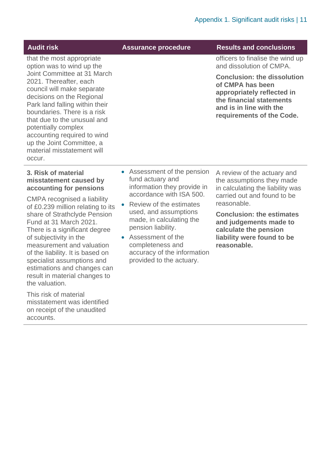| <b>Audit risk</b> |
|-------------------|
|-------------------|

**Assurance procedure Results and conclusions** 

officers to finalise the wind up and dissolution of CMPA.

**Conclusion: the dissolution of CMPA has been appropriately reflected in the financial statements and is in line with the requirements of the Code.** 

option was to wind up the Joint Committee at 31 March 2021. Thereafter, each council will make separate decisions on the Regional Park land falling within their boundaries. There is a risk that due to the unusual and potentially complex accounting required to wind up the Joint Committee, a material misstatement will occur.

that the most appropriate

#### **3. Risk of material misstatement caused by accounting for pensions**

CMPA recognised a liability of £0.239 million relating to its share of Strathclyde Pension Fund at 31 March 2021. There is a significant degree of subjectivity in the measurement and valuation of the liability. It is based on specialist assumptions and estimations and changes can result in material changes to the valuation.

This risk of material misstatement was identified on receipt of the unaudited accounts.

- Assessment of the pension fund actuary and information they provide in accordance with ISA 500.
- Review of the estimates used, and assumptions made, in calculating the pension liability.
- Assessment of the completeness and accuracy of the information provided to the actuary.

A review of the actuary and the assumptions they made in calculating the liability was carried out and found to be reasonable.

**Conclusion: the estimates and judgements made to calculate the pension liability were found to be reasonable.**